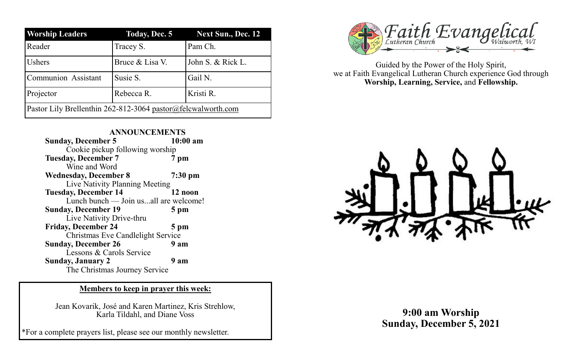| <b>Worship Leaders</b>                                       | <b>Today, Dec. 5</b> | <b>Next Sun., Dec. 12</b> |
|--------------------------------------------------------------|----------------------|---------------------------|
| Reader                                                       | Tracey S.            | Pam Ch.                   |
| <b>Ushers</b>                                                | Bruce & Lisa V.      | John S. & Rick L.         |
| Communion Assistant                                          | Susie S.             | Gail N.                   |
| Projector                                                    | Rebecca R.           | Kristi R.                 |
| Pastor Lily Brellenthin 262-812-3064 pastor@felcwalworth.com |                      |                           |

| <b>ANNOUNCEMENTS</b>                  |            |  |
|---------------------------------------|------------|--|
| <b>Sunday, December 5</b>             | $10:00$ am |  |
| Cookie pickup following worship       |            |  |
| <b>Tuesday, December 7</b>            | 7 pm       |  |
| Wine and Word                         |            |  |
| <b>Wednesday, December 8</b>          | $7:30$ pm  |  |
| Live Nativity Planning Meeting        |            |  |
| <b>Tuesday, December 14</b>           | 12 noon    |  |
| Lunch bunch — Join usall are welcome! |            |  |
| <b>Sunday, December 19</b>            | 5 pm       |  |
| Live Nativity Drive-thru              |            |  |
| <b>Friday, December 24</b>            | 5 pm       |  |
| Christmas Eve Candlelight Service     |            |  |
| <b>Sunday, December 26</b>            | 9 am       |  |
| Lessons & Carols Service              |            |  |
| <b>Sunday, January 2</b>              | 9 am       |  |
| The Christmas Journey Service         |            |  |

## **Members to keep in prayer this week:**

Jean Kovarik, José and Karen Martinez, Kris Strehlow, Karla Tildahl, and Diane Voss

\*For a complete prayers list, please see our monthly newsletter.



Guided by the Power of the Holy Spirit, we at Faith Evangelical Lutheran Church experience God through **Worship, Learning, Service,** and **Fellowship.**



**9:00 am Worship Sunday, December 5, 2021**